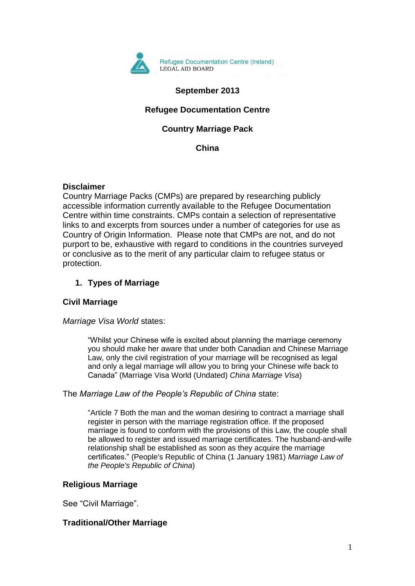

# **September 2013**

# **Refugee Documentation Centre**

# **Country Marriage Pack**

**China**

## **Disclaimer**

Country Marriage Packs (CMPs) are prepared by researching publicly accessible information currently available to the Refugee Documentation Centre within time constraints. CMPs contain a selection of representative links to and excerpts from sources under a number of categories for use as Country of Origin Information. Please note that CMPs are not, and do not purport to be, exhaustive with regard to conditions in the countries surveyed or conclusive as to the merit of any particular claim to refugee status or protection.

## **1. Types of Marriage**

## **Civil Marriage**

## *Marriage Visa World* states:

"Whilst your Chinese wife is excited about planning the marriage ceremony you should make her aware that under both Canadian and Chinese Marriage Law, only the civil registration of your marriage will be recognised as legal and only a legal marriage will allow you to bring your Chinese wife back to Canada" (Marriage Visa World (Undated) *[China Marriage Visa](http://www.marriagevisaworld.com/china)*)

#### The *Marriage Law of the People's Republic of China* state:

"Article 7 Both the man and the woman desiring to contract a marriage shall register in person with the marriage registration office. If the proposed marriage is found to conform with the provisions of this Law, the couple shall be allowed to register and issued marriage certificates. The husband-and-wife relationship shall be established as soon as they acquire the marriage certificates." (People's Republic of China (1 January 1981) *Marriage Law of the People's Republic of China*)

## **Religious Marriage**

See "Civil Marriage".

## **Traditional/Other Marriage**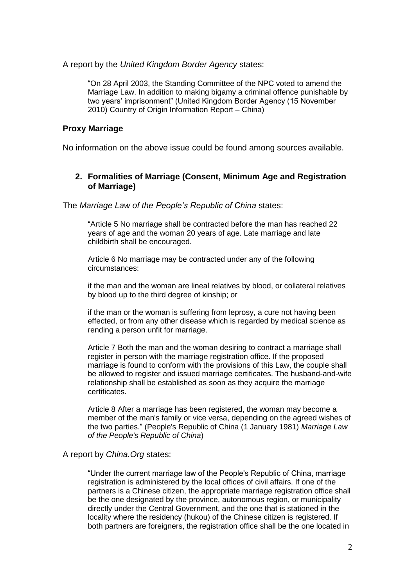A report by the *United Kingdom Border Agency* states:

"On 28 April 2003, the Standing Committee of the NPC voted to amend the Marriage Law. In addition to making bigamy a criminal offence punishable by two years' imprisonment" (United Kingdom Border Agency (15 November 2010) Country of Origin Information Report – China)

#### **Proxy Marriage**

No information on the above issue could be found among sources available.

### **2. Formalities of Marriage (Consent, Minimum Age and Registration of Marriage)**

The *Marriage Law of the People's Republic of China* states:

"Article 5 No marriage shall be contracted before the man has reached 22 years of age and the woman 20 years of age. Late marriage and late childbirth shall be encouraged.

Article 6 No marriage may be contracted under any of the following circumstances:

if the man and the woman are lineal relatives by blood, or collateral relatives by blood up to the third degree of kinship; or

if the man or the woman is suffering from leprosy, a cure not having been effected, or from any other disease which is regarded by medical science as rending a person unfit for marriage.

Article 7 Both the man and the woman desiring to contract a marriage shall register in person with the marriage registration office. If the proposed marriage is found to conform with the provisions of this Law, the couple shall be allowed to register and issued marriage certificates. The husband-and-wife relationship shall be established as soon as they acquire the marriage certificates.

Article 8 After a marriage has been registered, the woman may become a member of the man's family or vice versa, depending on the agreed wishes of the two parties." (People's Republic of China (1 January 1981) *Marriage Law of the People's Republic of China*)

#### A report by *China.Org* states:

"Under the current marriage law of the People's Republic of China, marriage registration is administered by the local offices of civil affairs. If one of the partners is a Chinese citizen, the appropriate marriage registration office shall be the one designated by the province, autonomous region, or municipality directly under the Central Government, and the one that is stationed in the locality where the residency (hukou) of the Chinese citizen is registered. If both partners are foreigners, the registration office shall be the one located in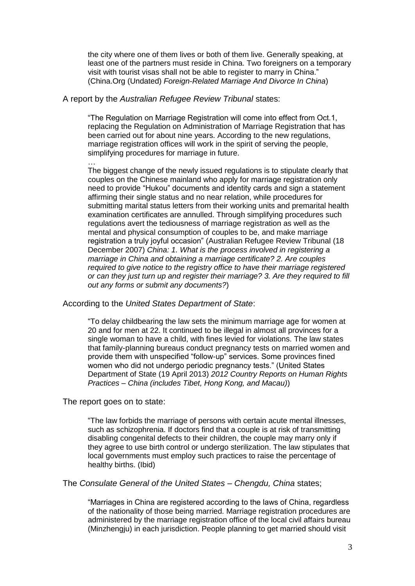the city where one of them lives or both of them live. Generally speaking, at least one of the partners must reside in China. Two foreigners on a temporary visit with tourist visas shall not be able to register to marry in China." (China.Org (Undated) *Foreign-Related Marriage And Divorce In China*)

#### A report by the *Australian Refugee Review Tribunal* states:

"The Regulation on Marriage Registration will come into effect from Oct.1, replacing the Regulation on Administration of Marriage Registration that has been carried out for about nine years. According to the new regulations, marriage registration offices will work in the spirit of serving the people. simplifying procedures for marriage in future.

… The biggest change of the newly issued regulations is to stipulate clearly that couples on the Chinese mainland who apply for marriage registration only need to provide "Hukou" documents and identity cards and sign a statement affirming their single status and no near relation, while procedures for submitting marital status letters from their working units and premarital health examination certificates are annulled. Through simplifying procedures such regulations avert the tediousness of marriage registration as well as the mental and physical consumption of couples to be, and make marriage registration a truly joyful occasion" (Australian Refugee Review Tribunal (18 December 2007) *China: 1. What is the process involved in registering a marriage in China and obtaining a marriage certificate? 2. Are couples required to give notice to the registry office to have their marriage registered or can they just turn up and register their marriage? 3. Are they required to fill out any forms or submit any documents?*)

According to the *United States Department of State*:

"To delay childbearing the law sets the minimum marriage age for women at 20 and for men at 22. It continued to be illegal in almost all provinces for a single woman to have a child, with fines levied for violations. The law states that family-planning bureaus conduct pregnancy tests on married women and provide them with unspecified "follow-up" services. Some provinces fined women who did not undergo periodic pregnancy tests." (United States Department of State (19 April 2013) *2012 Country Reports on Human Rights Practices – China (includes Tibet, Hong Kong, and Macau)*)

#### The report goes on to state:

"The law forbids the marriage of persons with certain acute mental illnesses, such as schizophrenia. If doctors find that a couple is at risk of transmitting disabling congenital defects to their children, the couple may marry only if they agree to use birth control or undergo sterilization. The law stipulates that local governments must employ such practices to raise the percentage of healthy births. (Ibid)

The *Consulate General of the United States – Chengdu, China* states;

"Marriages in China are registered according to the laws of China, regardless of the nationality of those being married. Marriage registration procedures are administered by the marriage registration office of the local civil affairs bureau (Minzhengju) in each jurisdiction. People planning to get married should visit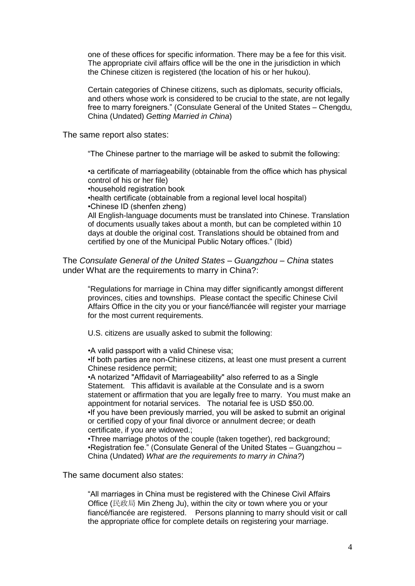one of these offices for specific information. There may be a fee for this visit. The appropriate civil affairs office will be the one in the jurisdiction in which the Chinese citizen is registered (the location of his or her hukou).

Certain categories of Chinese citizens, such as diplomats, security officials, and others whose work is considered to be crucial to the state, are not legally free to marry foreigners." (Consulate General of the United States – Chengdu, China (Undated) *Getting Married in China*)

The same report also states:

"The Chinese partner to the marriage will be asked to submit the following:

•a certificate of marriageability (obtainable from the office which has physical control of his or her file)

•household registration book

•health certificate (obtainable from a regional level local hospital) •Chinese ID (shenfen zheng)

All English-language documents must be translated into Chinese. Translation of documents usually takes about a month, but can be completed within 10 days at double the original cost. Translations should be obtained from and certified by one of the Municipal Public Notary offices." (Ibid)

The *Consulate General of the United States – Guangzhou – China* states under What are the requirements to marry in China?:

"Regulations for marriage in China may differ significantly amongst different provinces, cities and townships. Please contact the specific Chinese Civil Affairs Office in the city you or your fiancé/fiancée will register your marriage for the most current requirements.

U.S. citizens are usually asked to submit the following:

•A valid passport with a valid Chinese visa;

•If both parties are non-Chinese citizens, at least one must present a current Chinese residence permit;

•A notarized "Affidavit of Marriageability" also referred to as a Single Statement. This affidavit is available at the Consulate and is a sworn statement or affirmation that you are legally free to marry. You must make an appointment for notarial services. The notarial fee is USD \$50.00. •If you have been previously married, you will be asked to submit an original or certified copy of your final divorce or annulment decree; or death certificate, if you are widowed.;

•Three marriage photos of the couple (taken together), red background; •Registration fee." (Consulate General of the United States – Guangzhou – China (Undated) *What are the requirements to marry in China?*)

The same document also states:

"All marriages in China must be registered with the Chinese Civil Affairs Office (民政局 Min Zheng Ju), within the city or town where you or your fiancé/fiancée are registered. Persons planning to marry should visit or call the appropriate office for complete details on registering your marriage.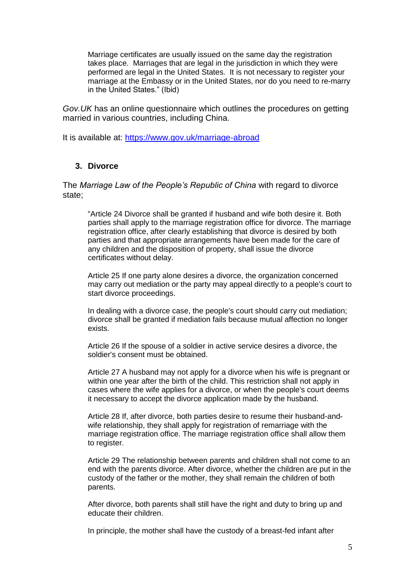Marriage certificates are usually issued on the same day the registration takes place. Marriages that are legal in the jurisdiction in which they were performed are legal in the United States. It is not necessary to register your marriage at the Embassy or in the United States, nor do you need to re-marry in the United States." (Ibid)

*Gov.UK* has an online questionnaire which outlines the procedures on getting married in various countries, including China.

It is available at:<https://www.gov.uk/marriage-abroad>

## **3. Divorce**

The *Marriage Law of the People's Republic of China* with regard to divorce state;

"Article 24 Divorce shall be granted if husband and wife both desire it. Both parties shall apply to the marriage registration office for divorce. The marriage registration office, after clearly establishing that divorce is desired by both parties and that appropriate arrangements have been made for the care of any children and the disposition of property, shall issue the divorce certificates without delay.

Article 25 If one party alone desires a divorce, the organization concerned may carry out mediation or the party may appeal directly to a people's court to start divorce proceedings.

In dealing with a divorce case, the people's court should carry out mediation; divorce shall be granted if mediation fails because mutual affection no longer exists.

Article 26 If the spouse of a soldier in active service desires a divorce, the soldier's consent must be obtained.

Article 27 A husband may not apply for a divorce when his wife is pregnant or within one year after the birth of the child. This restriction shall not apply in cases where the wife applies for a divorce, or when the people's court deems it necessary to accept the divorce application made by the husband.

Article 28 If, after divorce, both parties desire to resume their husband-andwife relationship, they shall apply for registration of remarriage with the marriage registration office. The marriage registration office shall allow them to register.

Article 29 The relationship between parents and children shall not come to an end with the parents divorce. After divorce, whether the children are put in the custody of the father or the mother, they shall remain the children of both parents.

After divorce, both parents shall still have the right and duty to bring up and educate their children.

In principle, the mother shall have the custody of a breast-fed infant after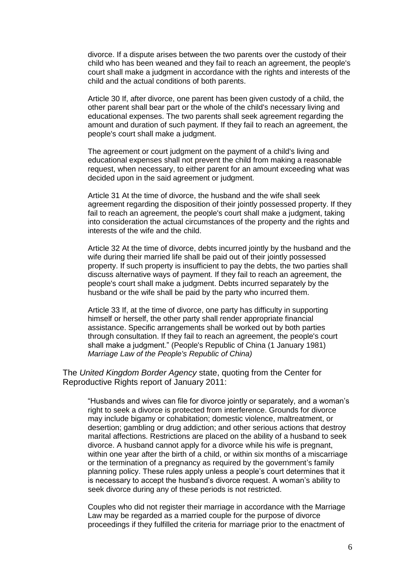divorce. If a dispute arises between the two parents over the custody of their child who has been weaned and they fail to reach an agreement, the people's court shall make a judgment in accordance with the rights and interests of the child and the actual conditions of both parents.

Article 30 If, after divorce, one parent has been given custody of a child, the other parent shall bear part or the whole of the child's necessary living and educational expenses. The two parents shall seek agreement regarding the amount and duration of such payment. If they fail to reach an agreement, the people's court shall make a judgment.

The agreement or court judgment on the payment of a child's living and educational expenses shall not prevent the child from making a reasonable request, when necessary, to either parent for an amount exceeding what was decided upon in the said agreement or judgment.

Article 31 At the time of divorce, the husband and the wife shall seek agreement regarding the disposition of their jointly possessed property. If they fail to reach an agreement, the people's court shall make a judgment, taking into consideration the actual circumstances of the property and the rights and interests of the wife and the child.

Article 32 At the time of divorce, debts incurred jointly by the husband and the wife during their married life shall be paid out of their jointly possessed property. If such property is insufficient to pay the debts, the two parties shall discuss alternative ways of payment. If they fail to reach an agreement, the people's court shall make a judgment. Debts incurred separately by the husband or the wife shall be paid by the party who incurred them.

Article 33 If, at the time of divorce, one party has difficulty in supporting himself or herself, the other party shall render appropriate financial assistance. Specific arrangements shall be worked out by both parties through consultation. If they fail to reach an agreement, the people's court shall make a judgment." (People's Republic of China (1 January 1981) *Marriage Law of the People's Republic of China)*

The *United Kingdom Border Agency* state, quoting from the Center for Reproductive Rights report of January 2011:

"Husbands and wives can file for divorce jointly or separately, and a woman's right to seek a divorce is protected from interference. Grounds for divorce may include bigamy or cohabitation; domestic violence, maltreatment, or desertion; gambling or drug addiction; and other serious actions that destroy marital affections. Restrictions are placed on the ability of a husband to seek divorce. A husband cannot apply for a divorce while his wife is pregnant, within one year after the birth of a child, or within six months of a miscarriage or the termination of a pregnancy as required by the government's family planning policy. These rules apply unless a people's court determines that it is necessary to accept the husband's divorce request. A woman's ability to seek divorce during any of these periods is not restricted.

Couples who did not register their marriage in accordance with the Marriage Law may be regarded as a married couple for the purpose of divorce proceedings if they fulfilled the criteria for marriage prior to the enactment of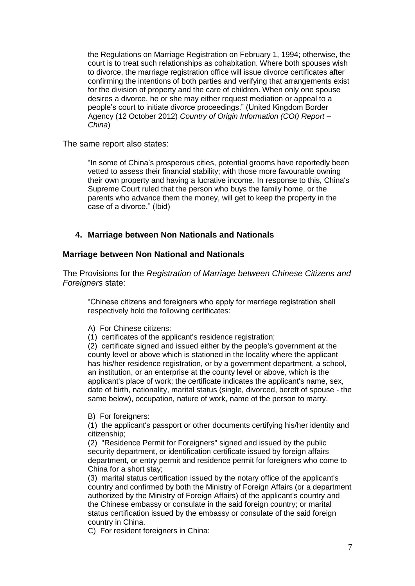the Regulations on Marriage Registration on February 1, 1994; otherwise, the court is to treat such relationships as cohabitation. Where both spouses wish to divorce, the marriage registration office will issue divorce certificates after confirming the intentions of both parties and verifying that arrangements exist for the division of property and the care of children. When only one spouse desires a divorce, he or she may either request mediation or appeal to a people's court to initiate divorce proceedings." (United Kingdom Border Agency (12 October 2012) *Country of Origin Information (COI) Report – China*)

The same report also states:

"In some of China's prosperous cities, potential grooms have reportedly been vetted to assess their financial stability; with those more favourable owning their own property and having a lucrative income. In response to this, China's Supreme Court ruled that the person who buys the family home, or the parents who advance them the money, will get to keep the property in the case of a divorce." (Ibid)

# **4. Marriage between Non Nationals and Nationals**

## **Marriage between Non National and Nationals**

The Provisions for the *Registration of Marriage between Chinese Citizens and Foreigners* state:

"Chinese citizens and foreigners who apply for marriage registration shall respectively hold the following certificates:

- A) For Chinese citizens:
- (1) certificates of the applicant's residence registration;

(2) certificate signed and issued either by the people's government at the county level or above which is stationed in the locality where the applicant has his/her residence registration, or by a government department, a school, an institution, or an enterprise at the county level or above, which is the applicant's place of work; the certificate indicates the applicant's name, sex, date of birth, nationality, marital status (single, divorced, bereft of spouse - the same below), occupation, nature of work, name of the person to marry.

B) For foreigners:

(1) the applicant's passport or other documents certifying his/her identity and citizenship;

(2) "Residence Permit for Foreigners" signed and issued by the public security department, or identification certificate issued by foreign affairs department, or entry permit and residence permit for foreigners who come to China for a short stay;

(3) marital status certification issued by the notary office of the applicant's country and confirmed by both the Ministry of Foreign Affairs (or a department authorized by the Ministry of Foreign Affairs) of the applicant's country and the Chinese embassy or consulate in the said foreign country; or marital status certification issued by the embassy or consulate of the said foreign country in China.

C) For resident foreigners in China: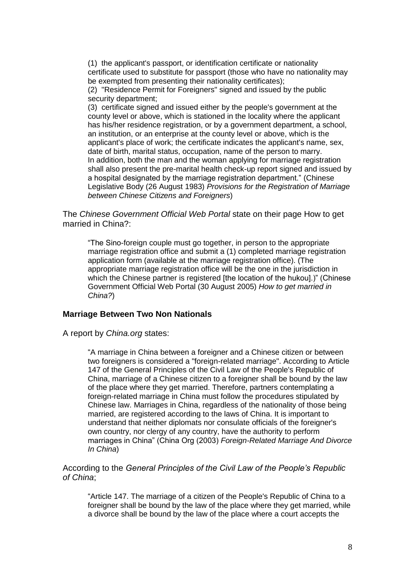(1) the applicant's passport, or identification certificate or nationality certificate used to substitute for passport (those who have no nationality may be exempted from presenting their nationality certificates);

(2) "Residence Permit for Foreigners" signed and issued by the public security department;

(3) certificate signed and issued either by the people's government at the county level or above, which is stationed in the locality where the applicant has his/her residence registration, or by a government department, a school, an institution, or an enterprise at the county level or above, which is the applicant's place of work; the certificate indicates the applicant's name, sex, date of birth, marital status, occupation, name of the person to marry. In addition, both the man and the woman applying for marriage registration shall also present the pre-marital health check-up report signed and issued by a hospital designated by the marriage registration department." (Chinese Legislative Body (26 August 1983) *Provisions for the Registration of Marriage between Chinese Citizens and Foreigners*)

The *Chinese Government Official Web Portal* state on their page How to get married in China?:

"The Sino-foreign couple must go together, in person to the appropriate marriage registration office and submit a (1) completed marriage registration application form (available at the marriage registration office). (The appropriate marriage registration office will be the one in the jurisdiction in which the Chinese partner is registered [the location of the hukou].)" (Chinese Government Official Web Portal (30 August 2005) *How to get married in China?*)

#### **Marriage Between Two Non Nationals**

A report by *China.org* states:

"A marriage in China between a foreigner and a Chinese citizen or between two foreigners is considered a "foreign-related marriage". According to Article 147 of the General Principles of the Civil Law of the People's Republic of China, marriage of a Chinese citizen to a foreigner shall be bound by the law of the place where they get married. Therefore, partners contemplating a foreign-related marriage in China must follow the procedures stipulated by Chinese law. Marriages in China, regardless of the nationality of those being married, are registered according to the laws of China. It is important to understand that neither diplomats nor consulate officials of the foreigner's own country, nor clergy of any country, have the authority to perform marriages in China" (China Org (2003) *Foreign-Related Marriage And Divorce In China*)

### According to the *General Principles of the Civil Law of the People's Republic of China*;

"Article 147. The marriage of a citizen of the People's Republic of China to a foreigner shall be bound by the law of the place where they get married, while a divorce shall be bound by the law of the place where a court accepts the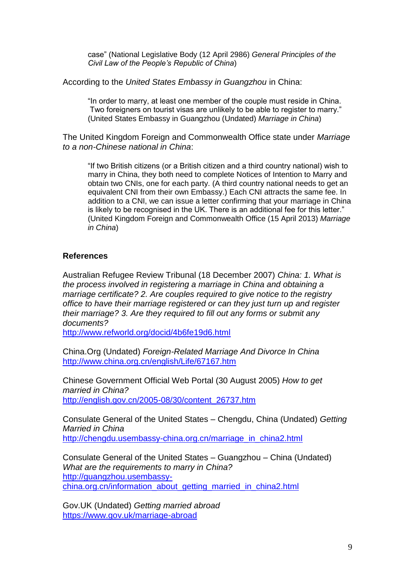case" (National Legislative Body (12 April 2986) *General Principles of the Civil Law of the People's Republic of China*)

According to the *United States Embassy in Guangzhou* in China:

"In order to marry, at least one member of the couple must reside in China. Two foreigners on tourist visas are unlikely to be able to register to marry." (United States Embassy in Guangzhou (Undated) *Marriage in China*)

The United Kingdom Foreign and Commonwealth Office state under *Marriage to a non-Chinese national in China*:

"If two British citizens (or a British citizen and a third country national) wish to marry in China, they both need to complete Notices of Intention to Marry and obtain two CNIs, one for each party. (A third country national needs to get an equivalent CNI from their own Embassy.) Each CNI attracts the same fee. In addition to a CNI, we can issue a letter confirming that your marriage in China is likely to be recognised in the UK. There is an additional fee for this letter." (United Kingdom Foreign and Commonwealth Office (15 April 2013) *Marriage in China*)

## **References**

Australian Refugee Review Tribunal (18 December 2007) *China: 1. What is the process involved in registering a marriage in China and obtaining a marriage certificate? 2. Are couples required to give notice to the registry office to have their marriage registered or can they just turn up and register their marriage? 3. Are they required to fill out any forms or submit any documents?*

<http://www.refworld.org/docid/4b6fe19d6.html>

China.Org (Undated) *Foreign-Related Marriage And Divorce In China* <http://www.china.org.cn/english/Life/67167.htm>

Chinese Government Official Web Portal (30 August 2005) *How to get married in China?* [http://english.gov.cn/2005-08/30/content\\_26737.htm](http://english.gov.cn/2005-08/30/content_26737.htm)

Consulate General of the United States – Chengdu, China (Undated) *Getting Married in China* [http://chengdu.usembassy-china.org.cn/marriage\\_in\\_china2.html](http://chengdu.usembassy-china.org.cn/marriage_in_china2.html)

Consulate General of the United States – Guangzhou – China (Undated) *What are the requirements to marry in China?* [http://guangzhou.usembassy](http://guangzhou.usembassy-china.org.cn/information_about_getting_married_in_china2.html)[china.org.cn/information\\_about\\_getting\\_married\\_in\\_china2.html](http://guangzhou.usembassy-china.org.cn/information_about_getting_married_in_china2.html)

Gov.UK (Undated) *Getting married abroad* <https://www.gov.uk/marriage-abroad>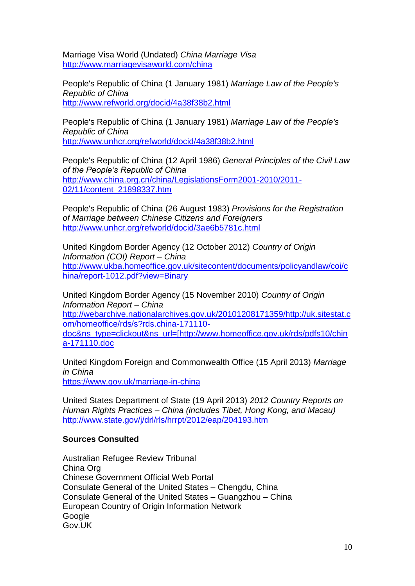Marriage Visa World (Undated) *[China Marriage Visa](http://www.marriagevisaworld.com/china)* <http://www.marriagevisaworld.com/china>

People's Republic of China (1 January 1981) *Marriage Law of the People's Republic of China* <http://www.refworld.org/docid/4a38f38b2.html>

People's Republic of China (1 January 1981) *Marriage Law of the People's Republic of China* <http://www.unhcr.org/refworld/docid/4a38f38b2.html>

People's Republic of China (12 April 1986) *General Principles of the Civil Law of the People's Republic of China* [http://www.china.org.cn/china/LegislationsForm2001-2010/2011-](http://www.china.org.cn/china/LegislationsForm2001-2010/2011-02/11/content_21898337.htm) [02/11/content\\_21898337.htm](http://www.china.org.cn/china/LegislationsForm2001-2010/2011-02/11/content_21898337.htm)

People's Republic of China (26 August 1983) *Provisions for the Registration of Marriage between Chinese Citizens and Foreigners* <http://www.unhcr.org/refworld/docid/3ae6b5781c.html>

United Kingdom Border Agency (12 October 2012) *Country of Origin Information (COI) Report – China* [http://www.ukba.homeoffice.gov.uk/sitecontent/documents/policyandlaw/coi/c](http://www.ukba.homeoffice.gov.uk/sitecontent/documents/policyandlaw/coi/china/report-1012.pdf?view=Binary) [hina/report-1012.pdf?view=Binary](http://www.ukba.homeoffice.gov.uk/sitecontent/documents/policyandlaw/coi/china/report-1012.pdf?view=Binary)

United Kingdom Border Agency (15 November 2010) *Country of Origin Information Report – China* [http://webarchive.nationalarchives.gov.uk/20101208171359/http://uk.sitestat.c](http://webarchive.nationalarchives.gov.uk/20101208171359/http:/uk.sitestat.com/homeoffice/rds/s?rds.china-171110-doc&ns_type=clickout&ns_url=%5bhttp://www.homeoffice.gov.uk/rds/pdfs10/china-171110.doc)

[om/homeoffice/rds/s?rds.china-171110](http://webarchive.nationalarchives.gov.uk/20101208171359/http:/uk.sitestat.com/homeoffice/rds/s?rds.china-171110-doc&ns_type=clickout&ns_url=%5bhttp://www.homeoffice.gov.uk/rds/pdfs10/china-171110.doc) [doc&ns\\_type=clickout&ns\\_url=\[http://www.homeoffice.gov.uk/rds/pdfs10/chin](http://webarchive.nationalarchives.gov.uk/20101208171359/http:/uk.sitestat.com/homeoffice/rds/s?rds.china-171110-doc&ns_type=clickout&ns_url=%5bhttp://www.homeoffice.gov.uk/rds/pdfs10/china-171110.doc)

[a-171110.doc](http://webarchive.nationalarchives.gov.uk/20101208171359/http:/uk.sitestat.com/homeoffice/rds/s?rds.china-171110-doc&ns_type=clickout&ns_url=%5bhttp://www.homeoffice.gov.uk/rds/pdfs10/china-171110.doc)

United Kingdom Foreign and Commonwealth Office (15 April 2013) *Marriage in China*

<https://www.gov.uk/marriage-in-china>

United States Department of State (19 April 2013) *2012 Country Reports on Human Rights Practices – China (includes Tibet, Hong Kong, and Macau)* <http://www.state.gov/j/drl/rls/hrrpt/2012/eap/204193.htm>

## **Sources Consulted**

Australian Refugee Review Tribunal China Org Chinese Government Official Web Portal Consulate General of the United States – Chengdu, China Consulate General of the United States – Guangzhou – China European Country of Origin Information Network Google Gov.UK